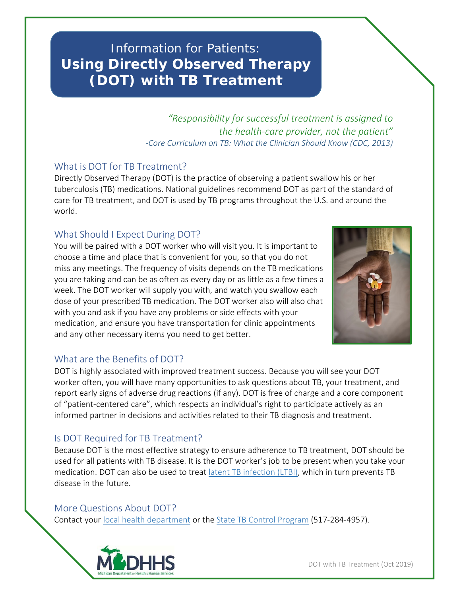# Information for Patients: **Using Directly Observed Therapy (DOT) with TB Treatment**

*"Responsibility for successful treatment is assigned to the health-care provider, not the patient" -Core Curriculum on TB: What the Clinician Should Know (CDC, 2013)*

#### What is DOT for TB Treatment?

J

Directly Observed Therapy (DOT) is the practice of observing a patient swallow his or her tuberculosis (TB) medications. National guidelines recommend DOT as part of the standard of care for TB treatment, and DOT is used by TB programs throughout the U.S. and around the world.

### What Should I Expect During DOT?

You will be paired with a DOT worker who will visit you. It is important to choose a time and place that is convenient for you, so that you do not miss any meetings. The frequency of visits depends on the TB medications you are taking and can be as often as every day or as little as a few times a week. The DOT worker will supply you with, and watch you swallow each dose of your prescribed TB medication. The DOT worker also will also chat with you and ask if you have any problems or side effects with your medication, and ensure you have transportation for clinic appointments and any other necessary items you need to get better.



# What are the Benefits of DOT?

DOT is highly associated with improved treatment success. Because you will see your DOT worker often, you will have many opportunities to ask questions about TB, your treatment, and report early signs of adverse drug reactions (if any). DOT is free of charge and a core component of "patient-centered care", which respects an individual's right to participate actively as an informed partner in decisions and activities related to their TB diagnosis and treatment.

# Is DOT Required for TB Treatment?

Because DOT is the most effective strategy to ensure adherence to TB treatment, DOT should be used for all patients with TB disease. It is the DOT worker's job to be present when you take your medication. DOT can also be used to treat [latent TB infection \(LTBI\),](http://www.michigan.gov/documents/mdhhs/MDHHS_TB_Infection_Factsheet_526061_7.pdf) which in turn prevents TB disease in the future.

#### More Questions About DOT?

Contact your [local health department](http://www.michigan.gov/mdhhs/0,5885,7-339--96747--,00.html) or th[e State TB](http://www.michigan.gov/mdhhs/0,5885,7-339-71550_5104_5281_46528_78977---,00.html) Control Program (517-284-4957).